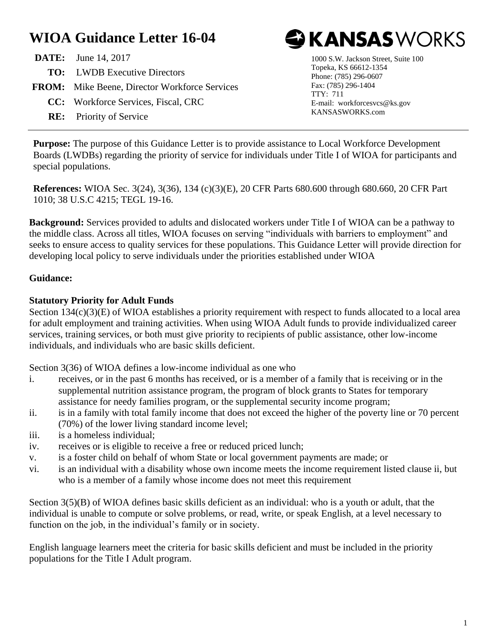# **WIOA Guidance Letter 16-04**

| <b>DATE:</b> June 14, 2017                           |
|------------------------------------------------------|
| <b>TO:</b> LWDB Executive Directors                  |
| <b>FROM:</b> Mike Beene, Director Workforce Services |
| CC: Workforce Services, Fiscal, CRC                  |
| <b>RE:</b> Priority of Service                       |



1000 S.W. Jackson Street, Suite 100 Topeka, KS 66612-1354 Phone: (785) 296-0607 Fax: (785) 296-1404 TTY: 711 E-mail: workforcesvcs@ks.gov KANSASWORKS.com

**Purpose:** The purpose of this Guidance Letter is to provide assistance to Local Workforce Development Boards (LWDBs) regarding the priority of service for individuals under Title I of WIOA for participants and special populations.

**References:** WIOA Sec. 3(24), 3(36), 134 (c)(3)(E), 20 CFR Parts 680.600 through 680.660, 20 CFR Part 1010; 38 U.S.C 4215; TEGL 19-16.

**Background:** Services provided to adults and dislocated workers under Title I of WIOA can be a pathway to the middle class. Across all titles, WIOA focuses on serving "individuals with barriers to employment" and seeks to ensure access to quality services for these populations. This Guidance Letter will provide direction for developing local policy to serve individuals under the priorities established under WIOA

### **Guidance:**

### **Statutory Priority for Adult Funds**

Section 134(c)(3)(E) of WIOA establishes a priority requirement with respect to funds allocated to a local area for adult employment and training activities. When using WIOA Adult funds to provide individualized career services, training services, or both must give priority to recipients of public assistance, other low-income individuals, and individuals who are basic skills deficient.

Section 3(36) of WIOA defines a low-income individual as one who

- i. receives, or in the past 6 months has received, or is a member of a family that is receiving or in the supplemental nutrition assistance program, the program of block grants to States for temporary assistance for needy families program, or the supplemental security income program;
- ii. is in a family with total family income that does not exceed the higher of the poverty line or 70 percent (70%) of the lower living standard income level;
- iii. is a homeless individual;
- iv. receives or is eligible to receive a free or reduced priced lunch;
- v. is a foster child on behalf of whom State or local government payments are made; or
- vi. is an individual with a disability whose own income meets the income requirement listed clause ii, but who is a member of a family whose income does not meet this requirement

Section 3(5)(B) of WIOA defines basic skills deficient as an individual: who is a youth or adult, that the individual is unable to compute or solve problems, or read, write, or speak English, at a level necessary to function on the job, in the individual's family or in society.

English language learners meet the criteria for basic skills deficient and must be included in the priority populations for the Title I Adult program.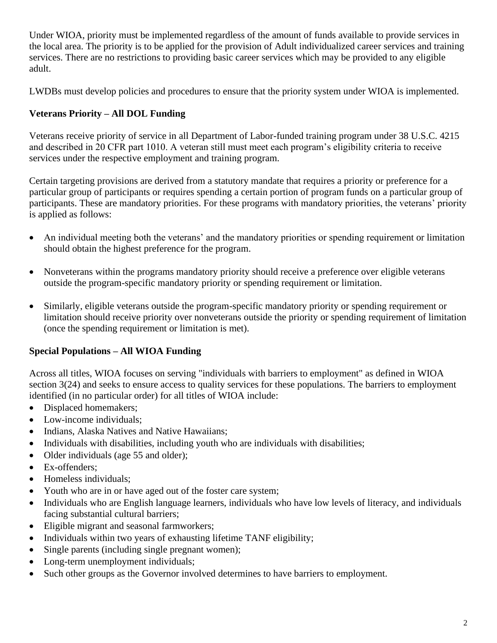Under WIOA, priority must be implemented regardless of the amount of funds available to provide services in the local area. The priority is to be applied for the provision of Adult individualized career services and training services. There are no restrictions to providing basic career services which may be provided to any eligible adult.

LWDBs must develop policies and procedures to ensure that the priority system under WIOA is implemented.

# **Veterans Priority – All DOL Funding**

Veterans receive priority of service in all Department of Labor-funded training program under 38 U.S.C. 4215 and described in 20 CFR part 1010. A veteran still must meet each program's eligibility criteria to receive services under the respective employment and training program.

Certain targeting provisions are derived from a statutory mandate that requires a priority or preference for a particular group of participants or requires spending a certain portion of program funds on a particular group of participants. These are mandatory priorities. For these programs with mandatory priorities, the veterans' priority is applied as follows:

- An individual meeting both the veterans' and the mandatory priorities or spending requirement or limitation should obtain the highest preference for the program.
- Nonveterans within the programs mandatory priority should receive a preference over eligible veterans outside the program-specific mandatory priority or spending requirement or limitation.
- Similarly, eligible veterans outside the program-specific mandatory priority or spending requirement or limitation should receive priority over nonveterans outside the priority or spending requirement of limitation (once the spending requirement or limitation is met).

# **Special Populations – All WIOA Funding**

Across all titles, WIOA focuses on serving "individuals with barriers to employment" as defined in WIOA section 3(24) and seeks to ensure access to quality services for these populations. The barriers to employment identified (in no particular order) for all titles of WIOA include:

- Displaced homemakers;
- Low-income individuals;
- Indians, Alaska Natives and Native Hawaiians;
- Individuals with disabilities, including youth who are individuals with disabilities;
- Older individuals (age 55 and older);
- Ex-offenders:
- Homeless individuals:
- Youth who are in or have aged out of the foster care system;
- Individuals who are English language learners, individuals who have low levels of literacy, and individuals facing substantial cultural barriers;
- Eligible migrant and seasonal farmworkers;
- Individuals within two years of exhausting lifetime TANF eligibility;
- Single parents (including single pregnant women);
- Long-term unemployment individuals;
- Such other groups as the Governor involved determines to have barriers to employment.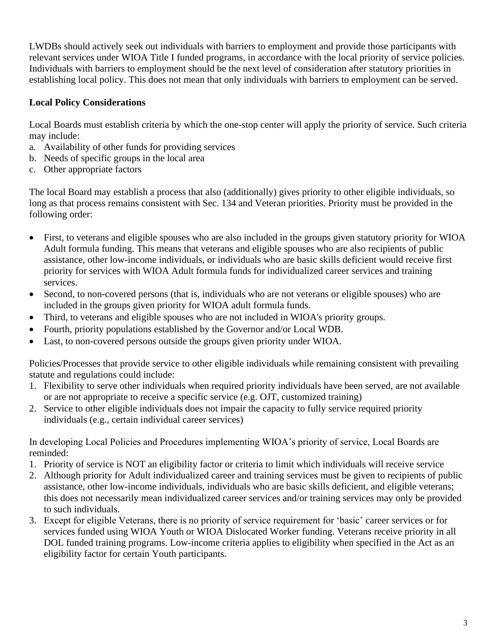LWDBs should actively seek out individuals with barriers to employment and provide those participants with relevant services under WIOA Title I funded programs, in accordance with the local priority of service policies. Individuals with barriers to employment should be the next level of consideration after statutory priorities in establishing local policy. This does not mean that only individuals with barriers to employment can be served.

# **Local Policy Considerations**

Local Boards must establish criteria by which the one-stop center will apply the priority of service. Such criteria may include:

- a. Availability of other funds for providing services
- b. Needs of specific groups in the local area
- c. Other appropriate factors

The local Board may establish a process that also (additionally) gives priority to other eligible individuals, so long as that process remains consistent with Sec. 134 and Veteran priorities. Priority must be provided in the following order:

- First, to veterans and eligible spouses who are also included in the groups given statutory priority for WIOA Adult formula funding. This means that veterans and eligible spouses who are also recipients of public assistance, other low-income individuals, or individuals who are basic skills deficient would receive first priority for services with WIOA Adult formula funds for individualized career services and training services.
- Second, to non-covered persons (that is, individuals who are not veterans or eligible spouses) who are included in the groups given priority for WIOA adult formula funds.
- Third, to veterans and eligible spouses who are not included in WIOA's priority groups.
- Fourth, priority populations established by the Governor and/or Local WDB.
- Last, to non-covered persons outside the groups given priority under WIOA.

Policies/Processes that provide service to other eligible individuals while remaining consistent with prevailing statute and regulations could include:

- 1. Flexibility to serve other individuals when required priority individuals have been served, are not available or are not appropriate to receive a specific service (e.g. OJT, customized training)
- 2. Service to other eligible individuals does not impair the capacity to fully service required priority individuals (e.g., certain individual career services)

In developing Local Policies and Procedures implementing WIOA's priority of service, Local Boards are reminded:

- 1. Priority of service is NOT an eligibility factor or criteria to limit which individuals will receive service
- 2. Although priority for Adult individualized career and training services must be given to recipients of public assistance, other low-income individuals, individuals who are basic skills deficient, and eligible veterans; this does not necessarily mean individualized career services and/or training services may only be provided to such individuals.
- 3. Except for eligible Veterans, there is no priority of service requirement for 'basic' career services or for services funded using WIOA Youth or WIOA Dislocated Worker funding. Veterans receive priority in all DOL funded training programs. Low-income criteria applies to eligibility when specified in the Act as an eligibility factor for certain Youth participants.